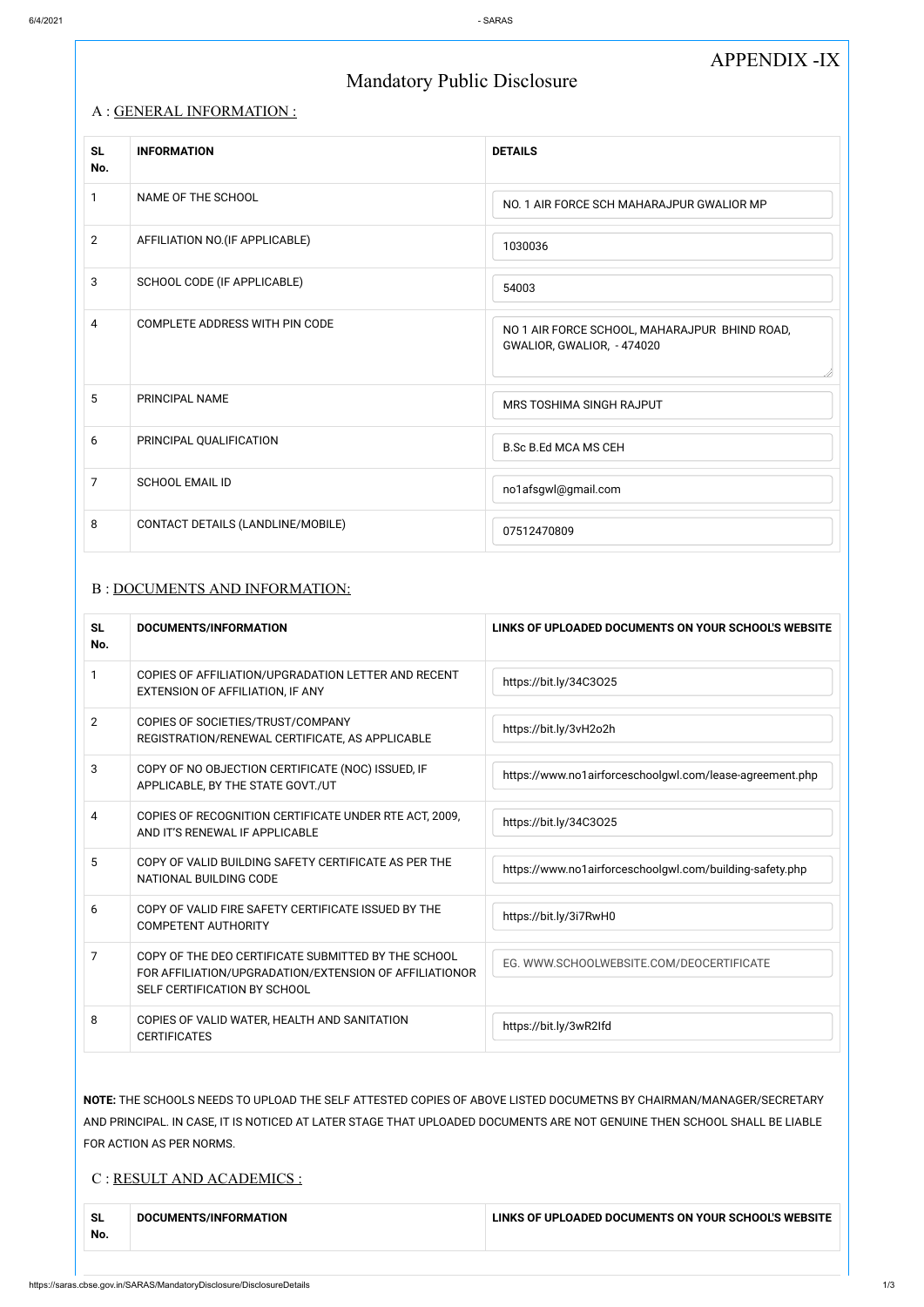# APPENDIX -IX

# Mandatory Public Disclosure

## A : GENERAL INFORMATION :

| <b>SL</b><br>No. | <b>INFORMATION</b>                | <b>DETAILS</b>                                                              |
|------------------|-----------------------------------|-----------------------------------------------------------------------------|
| $\mathbf{1}$     | NAME OF THE SCHOOL                | NO. 1 AIR FORCE SCH MAHARAJPUR GWALIOR MP                                   |
| $\overline{2}$   | AFFILIATION NO. (IF APPLICABLE)   | 1030036                                                                     |
| 3                | SCHOOL CODE (IF APPLICABLE)       | 54003                                                                       |
| $\overline{4}$   | COMPLETE ADDRESS WITH PIN CODE    | NO 1 AIR FORCE SCHOOL, MAHARAJPUR BHIND ROAD,<br>GWALIOR, GWALIOR, - 474020 |
| $5\phantom{.0}$  | PRINCIPAL NAME                    | MRS TOSHIMA SINGH RAJPUT                                                    |
| 6                | PRINCIPAL QUALIFICATION           | <b>B.Sc B.Ed MCA MS CEH</b>                                                 |
| $\overline{7}$   | <b>SCHOOL EMAIL ID</b>            | no1afsgwl@gmail.com                                                         |
| 8                | CONTACT DETAILS (LANDLINE/MOBILE) | 07512470809                                                                 |

## B : DOCUMENTS AND INFORMATION:

| <b>SL</b><br>No. | DOCUMENTS/INFORMATION                                                                                                                                                                                                                          | LINKS OF UPLOADED DOCUMENTS ON YOUR SCHOOL'S WEBSITE                               |  |  |
|------------------|------------------------------------------------------------------------------------------------------------------------------------------------------------------------------------------------------------------------------------------------|------------------------------------------------------------------------------------|--|--|
| 1                | COPIES OF AFFILIATION/UPGRADATION LETTER AND RECENT<br>EXTENSION OF AFFILIATION, IF ANY                                                                                                                                                        | https://bit.ly/34C3025                                                             |  |  |
| $\overline{2}$   | COPIES OF SOCIETIES/TRUST/COMPANY<br>REGISTRATION/RENEWAL CERTIFICATE, AS APPLICABLE                                                                                                                                                           | https://bit.ly/3vH2o2h                                                             |  |  |
| 3                | COPY OF NO OBJECTION CERTIFICATE (NOC) ISSUED, IF<br>APPLICABLE, BY THE STATE GOVT./UT                                                                                                                                                         | https://www.no1airforceschoolgwl.com/lease-agreement.php                           |  |  |
| 4                | COPIES OF RECOGNITION CERTIFICATE UNDER RTE ACT, 2009,<br>AND IT'S RENEWAL IF APPLICABLE                                                                                                                                                       | https://bit.ly/34C3025                                                             |  |  |
| 5                | COPY OF VALID BUILDING SAFETY CERTIFICATE AS PER THE<br>NATIONAL BUILDING CODE                                                                                                                                                                 | https://www.no1airforceschoolgwl.com/building-safety.php<br>https://bit.ly/3i7RwH0 |  |  |
| 6                | COPY OF VALID FIRE SAFETY CERTIFICATE ISSUED BY THE<br><b>COMPETENT AUTHORITY</b>                                                                                                                                                              |                                                                                    |  |  |
| 7                | COPY OF THE DEO CERTIFICATE SUBMITTED BY THE SCHOOL<br>FOR AFFILIATION/UPGRADATION/EXTENSION OF AFFILIATIONOR<br>SELF CERTIFICATION BY SCHOOL                                                                                                  | EG. WWW.SCHOOLWEBSITE.COM/DEOCERTIFICATE                                           |  |  |
| 8                | COPIES OF VALID WATER, HEALTH AND SANITATION<br><b>CERTIFICATES</b>                                                                                                                                                                            | https://bit.ly/3wR2lfd                                                             |  |  |
|                  | NOTE: THE SCHOOLS NEEDS TO UPLOAD THE SELF ATTESTED COPIES OF ABOVE LISTED DOCUMETNS BY CHAIRMAN/MANAGER/SECRETARY<br>AND PRINCIPAL. IN CASE, IT IS NOTICED AT LATER STAGE THAT UPLOADED DOCUMENTS ARE NOT GENUINE THEN SCHOOL SHALL BE LIABLE |                                                                                    |  |  |
|                  | FOR ACTION AS PER NORMS.<br>C : RESULT AND ACADEMICS :                                                                                                                                                                                         |                                                                                    |  |  |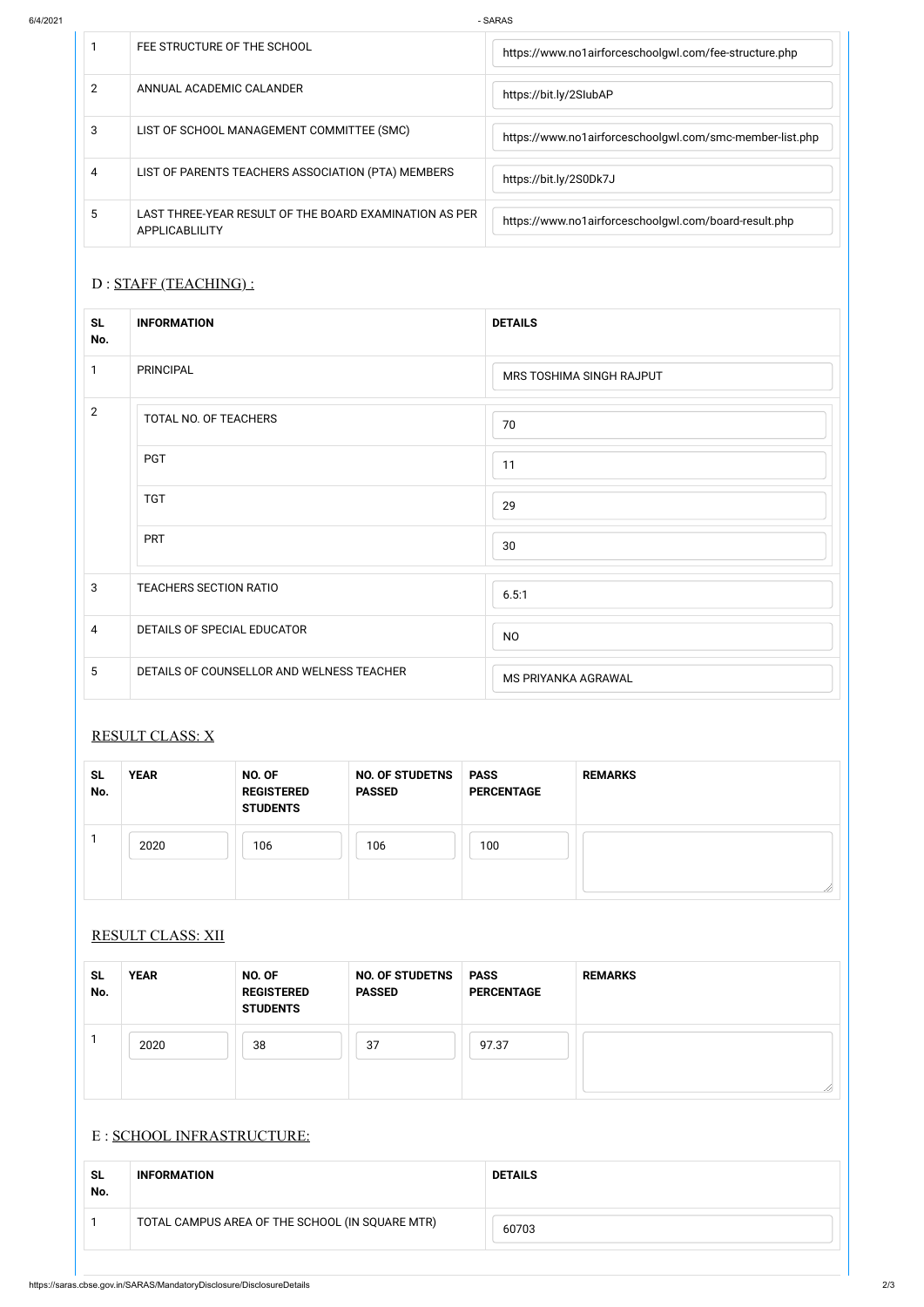6/4/2021 - SARAS

|   | FEE STRUCTURE OF THE SCHOOL                                              | https://www.no1airforceschoolgwl.com/fee-structure.php   |
|---|--------------------------------------------------------------------------|----------------------------------------------------------|
| 2 | ANNUAL ACADEMIC CALANDER                                                 | https://bit.ly/2SlubAP                                   |
| 3 | LIST OF SCHOOL MANAGEMENT COMMITTEE (SMC)                                | https://www.no1airforceschoolgwl.com/smc-member-list.php |
| 4 | LIST OF PARENTS TEACHERS ASSOCIATION (PTA) MEMBERS                       | https://bit.ly/2S0Dk7J                                   |
| 5 | LAST THREE-YEAR RESULT OF THE BOARD EXAMINATION AS PER<br>APPLICABLILITY | https://www.no1airforceschoolgwl.com/board-result.php    |

# D : STAFF (TEACHING) :

| <b>SL</b><br>No. | <b>INFORMATION</b>                              | <b>DETAILS</b> |  |  |
|------------------|-------------------------------------------------|----------------|--|--|
|                  | TOTAL CAMPUS AREA OF THE SCHOOL (IN SQUARE MTR) | 60703          |  |  |

| <b>SL</b><br>No. | <b>INFORMATION</b>                        | <b>DETAILS</b>           |  |
|------------------|-------------------------------------------|--------------------------|--|
| 1                | PRINCIPAL                                 | MRS TOSHIMA SINGH RAJPUT |  |
| $\overline{2}$   | TOTAL NO. OF TEACHERS                     | 70                       |  |
|                  | <b>PGT</b>                                | 11                       |  |
|                  | <b>TGT</b>                                | 29                       |  |
|                  | <b>PRT</b>                                | 30                       |  |
| $\mathbf{3}$     | TEACHERS SECTION RATIO                    | 6.5:1                    |  |
| $\overline{4}$   | DETAILS OF SPECIAL EDUCATOR               | <b>NO</b>                |  |
| $5\phantom{.0}$  | DETAILS OF COUNSELLOR AND WELNESS TEACHER | MS PRIYANKA AGRAWAL      |  |

# RESULT CLASS: X

| <b>SL</b><br>No. | <b>YEAR</b> | NO. OF<br><b>REGISTERED</b><br><b>STUDENTS</b> | <b>NO. OF STUDETNS</b><br><b>PASSED</b> | <b>PASS</b><br><b>PERCENTAGE</b> | <b>REMARKS</b> |
|------------------|-------------|------------------------------------------------|-----------------------------------------|----------------------------------|----------------|
|                  | 2020        | 106                                            | 106                                     | 100                              | //\            |

### RESULT CLASS: XII

| <b>SL</b> | JU J | <b>OF</b><br><b>NC</b> | TNS<br>ΩE<br>'I IDF<br><b>NC</b> | <b>PASS</b> | <b>SEMARY</b><br>or |
|-----------|------|------------------------|----------------------------------|-------------|---------------------|
|           |      |                        |                                  |             |                     |

| No. |      | <b>REGISTERED</b><br><b>STUDENTS</b> | <b>PASSED</b> | <b>PERCENTAGE</b> |  |
|-----|------|--------------------------------------|---------------|-------------------|--|
|     | 2020 | 38                                   | 37            | 97.37             |  |
|     |      |                                      |               |                   |  |

## E : SCHOOL INFRASTRUCTURE: